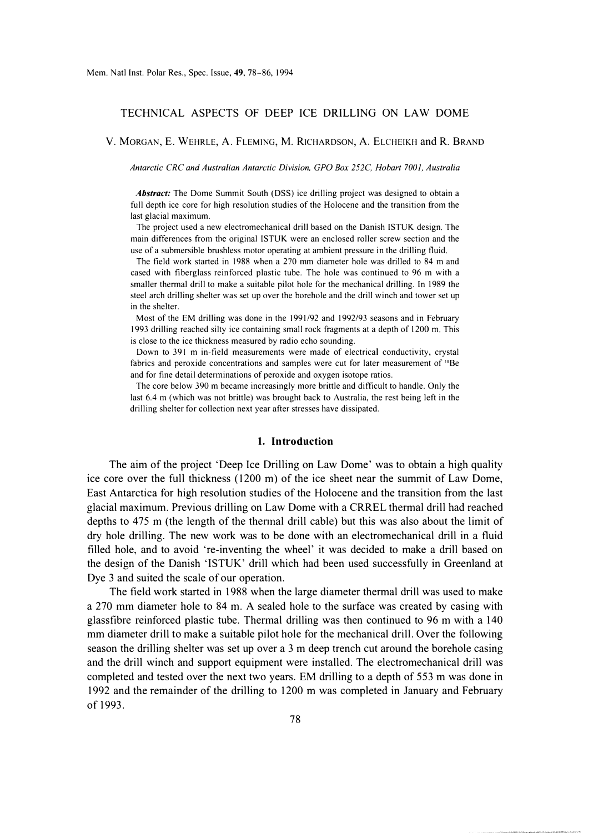### TECHNICAL ASPECTS OF DEEP ICE DRILLING ON LAW DOME

V. MORGAN, E. WEHRLE, A. FLEMING, M. RICHARDSON, A. ELCHEIKH and R. BRAND

*Antarctic CRC and Australian Antarctic Division, GPO Box 252C, Hobart 7001, Australia* 

*Abstract:* The Dome Summit South (DSS) ice drilling project was designed to obtain a full depth ice core for high resolution studies of the Holocene and the transition from the last glacial maximum.

The project used a new electromechanical drill based on the Danish ISTUK design. The main differences from the original ISTUK were an enclosed roller screw section and the use of a submersible brushless motor operating at ambient pressure in the drilling fluid.

The field work started in 1988 when a 270 mm diameter hole was drilled to 84 m and cased with fiberglass reinforced plastic tube. The hole was continued to 96 m with a smaller thermal drill to make a suitable pilot hole for the mechanical drilling. In 1989 the steel arch drilling shelter was set up over the borehole and the drill winch and tower set up in the shelter.

Most of the EM drilling was done in the 1991/92 and 1992/93 seasons and in February 1993 drilling reached silty ice containing small rock fragments at a depth of 1200 m. This is close to the ice thickness measured by radio echo sounding.

Down to 391 m in-field measurements were made of electrical conductivity, crystal fabrics and peroxide concentrations and samples were cut for later measurement of '"Be and for fine detail determinations of peroxide and oxygen isotope ratios.

The core below 390 m became increasingly more brittle and difficult to handle. Only the last 6.4 m (which was not brittle) was brought back to Australia, the rest being left in the drilling shelter for collection next year after stresses have dissipated.

### **1. Introduction**

The aim of the project 'Deep Ice Drilling on Law Dome' was to obtain a high quality ice core over the full thickness (1200 m) of the ice sheet near the summit of Law Dome, East Antarctica for high resolution studies of the Holocene and the transition from the last glacial maximum. Previous drilling on Law Dome with a CRREL thermal drill had reached depths to 475 m (the length of the thennal drill cable) but this was also about the limit of dry hole drilling. The new work was to be done with an electromechanical drill in a fluid filled hole, and to avoid 're-inventing the wheel' it was decided to make a drill based on the design of the Danish 'ISTUK' drill which had been used successfully in Greenland at Dye 3 and suited the scale of our operation.

The field work started in 1988 when the large diameter thermal drill was used to make a 270 mm diameter hole to 84 m. A sealed hole to the surface was created by casing with glassfibre reinforced plastic tube. Thermal drilling was then continued to 96 m with a 140 mm diameter drill to make a suitable pilot hole for the mechanical drill. Over the following season the drilling shelter was set up over a 3 m deep trench cut around the borehole casing and the drill winch and support equipment were installed. The electromechanical drill was completed and tested over the next two years. EM drilling to a depth of 553 m was done in 1992 and the remainder of the drilling to 1200 m was completed in January and February of 1993.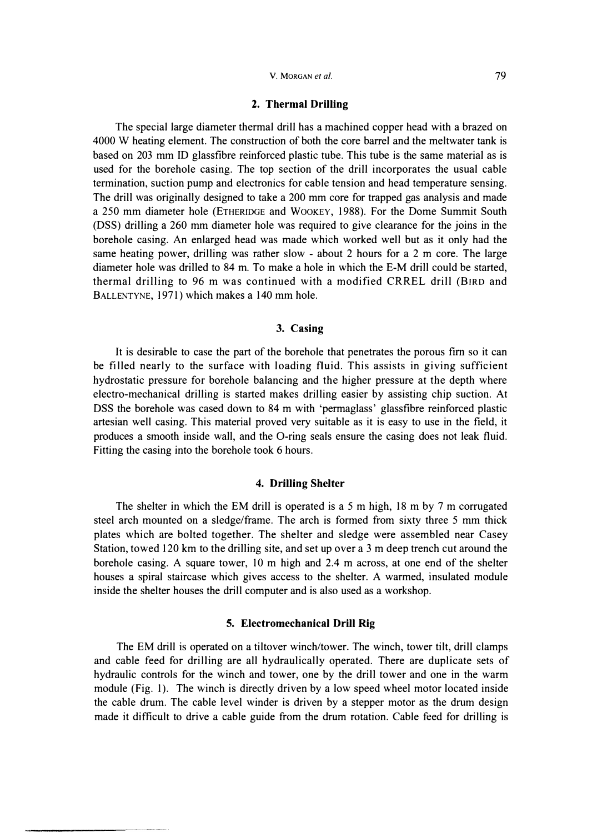### **2. Thermal Drilling**

The special large diameter thermal drill has a machined copper head with a brazed on 4000 W heating element. The construction of both the core barrel and the meltwater tank is based on 203 mm ID glassfibre reinforced plastic tube. This tube is the same material as is used for the borehole casing. The top section of the drill incorporates the usual cable termination, suction pump and electronics for cable tension and head temperature sensing. The drill was originally designed to take a 200 mm core for trapped gas analysis and made a 250 mm diameter hole (ETHERIDGE and WooKEY, 1988). For the Dome Summit South (DSS) drilling a 260 mm diameter hole was required to give clearance for the joins in the borehole casing. An enlarged head was made which worked well but as it only had the same heating power, drilling was rather slow - about 2 hours for a 2 m core. The large diameter hole was drilled to 84 m. To make a hole in which the E-M drill could be started, thermal drilling to 96 m was continued with a modified CRREL drill (BIRD and BALLENTYNE, 1971) which makes a 140 mm hole.

### **3. Casing**

It is desirable to case the part of the borehole that penetrates the porous fim so it can be filled nearly to the surface with loading fluid. This assists in giving sufficient hydrostatic pressure for borehole balancing and the higher pressure at the depth where electro-mechanical drilling is started makes drilling easier by assisting chip suction. At DSS the borehole was cased down to 84 m with 'permaglass' glassfibre reinforced plastic artesian well casing. This material proved very suitable as it is easy to use in the field, it produces a smooth inside wall, and the 0-ring seals ensure the casing does not leak fluid. Fitting the casing into the borehole took 6 hours.

## **4. Drilling Shelter**

The shelter in which the EM drill is operated is a 5 m high, 18 m by 7 m corrugated steel arch mounted on a sledge/frame. The arch is formed from sixty three 5 mm thick plates which are bolted together. The shelter and sledge were assembled near Casey Station, towed 120 km to the drilling site, and set up over a 3 m deep trench cut around the borehole casing. A square tower, 10 m high and 2.4 m across, at one end of the shelter houses a spiral staircase which gives access to the shelter. A warmed, insulated module inside the shelter houses the drill computer and is also used as a workshop.

# **5. Electromechanical Drill Rig**

The EM drill is operated on a tiltover winch/tower. The winch, tower tilt, drill clamps and cable feed for drilling are all hydraulically operated. There are duplicate sets of hydraulic controls for the winch and tower, one by the drill tower and one in the warm module (Fig. 1). The winch is directly driven by a low speed wheel motor located inside the cable drum. The cable level winder is driven by a stepper motor as the drum design made it difficult to drive a cable guide from the drum rotation. Cable feed for drilling is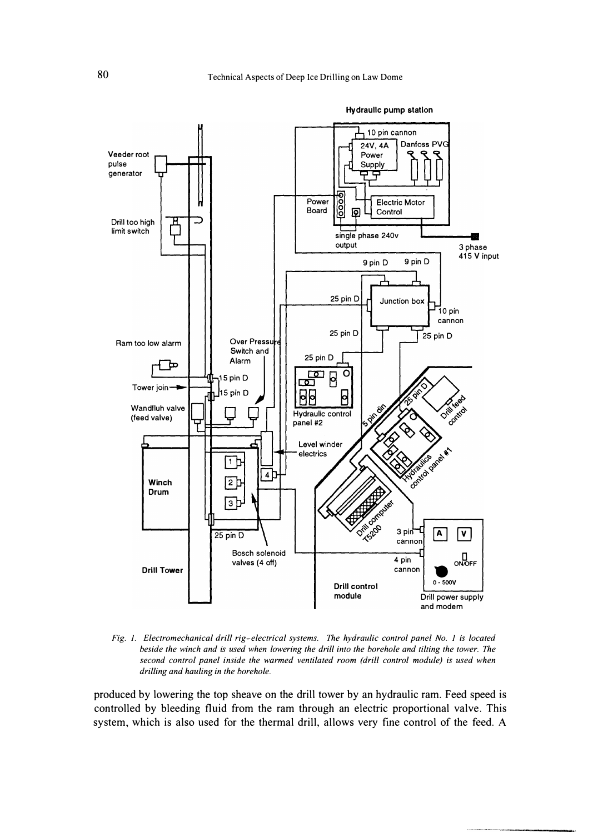

*Fig. 1. Electromechanical drill rig-electrical systems. The hydraulic control panel No. 1 is located beside the winch and is used when lowering the drill into the borehole and tilting the tower. The second control panel inside the warmed ventilated room (drill control module) is used when drilling and hauling in the borehole.* 

**produced by lowering the top sheave on the drill tower by an hydraulic ram. Feed speed is controlled by bleeding fluid from the ram through an electric proportional valve. This system, which is also used for the thermal drill, allows very fine control of the feed. A**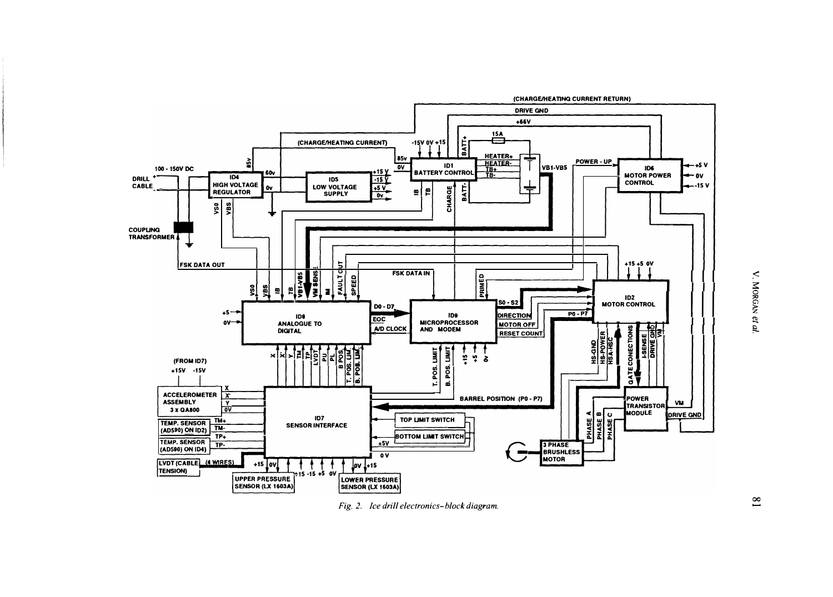

*Fig. 2. Ice drill electronics-block diagram.*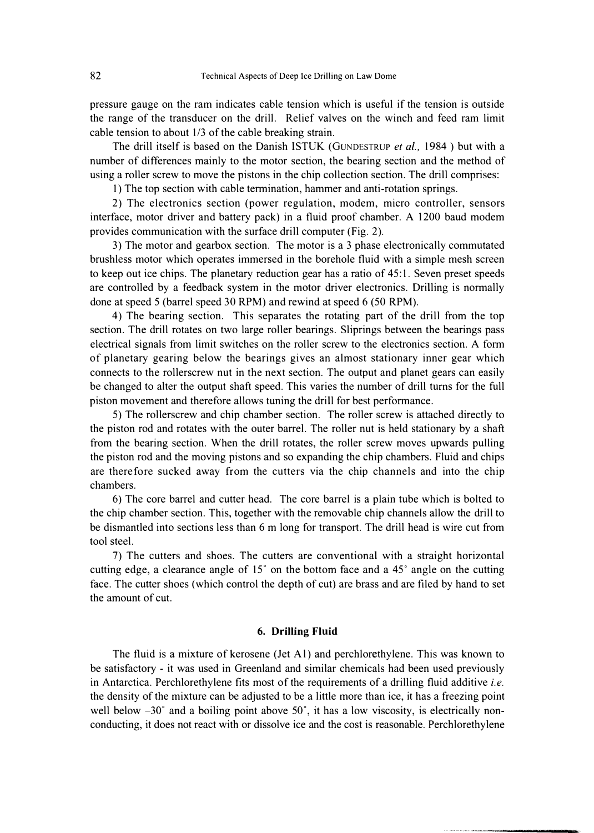pressure gauge on the ram indicates cable tension which is useful if the tension is outside the range of the transducer on the drill. Relief valves on the winch and feed ram limit cable tension to about 1/3 of the cable breaking strain.

The drill itself is based on the Danish ISTUK (GuNDESTRUP *et al.,* 1984 ) but with a number of differences mainly to the motor section, the bearing section and the method of using a roller screw to move the pistons in the chip collection section. The drill comprises:

1) The top section with cable termination, hammer and anti-rotation springs.

2) The electronics section (power regulation, modem, micro controller, sensors interface, motor driver and battery pack) in a fluid proof chamber. A 1200 baud modem provides communication with the surface drill computer (Fig. 2).

3) The motor and gearbox section. The motor is a 3 phase electronically commutated brushless motor which operates immersed in the borehole fluid with a simple mesh screen to keep out ice chips. The planetary reduction gear has a ratio of 45: 1. Seven preset speeds are controlled by a feedback system in the motor driver electronics. Drilling is normally done at speed 5 (barrel speed 30 RPM) and rewind at speed 6 (50 RPM).

4) The bearing section. This separates the rotating part of the drill from the top section. The drill rotates on two large roller bearings. Sliprings between the bearings pass electrical signals from limit switches on the roller screw to the electronics section. A form of planetary gearing below the bearings gives an almost stationary inner gear which connects to the rollerscrew nut in the next section. The output and planet gears can easily be changed to alter the output shaft speed. This varies the number of drill turns for the full piston movement and therefore allows tuning the drill for best performance.

5) The rollerscrew and chip chamber section. The roller screw is attached directly to the piston rod and rotates with the outer barrel. The roller nut is held stationary by a shaft from the bearing section. When the drill rotates, the roller screw moves upwards pulling the piston rod and the moving pistons and so expanding the chip chambers. Fluid and chips are therefore sucked away from the cutters via the chip channels and into the chip chambers.

6) The core barrel and cutter head. The core barrel is a plain tube which is bolted to the chip chamber section. This, together with the removable chip channels allow the drill to be dismantled into sections less than 6 m long for transport. The drill head is wire cut from tool steel.

7) The cutters and shoes. The cutters are conventional with a straight horizontal cutting edge, a clearance angle of 15° on the bottom face and a 45° angle on the cutting face. The cutter shoes (which control the depth of cut) are brass and are filed by hand to set the amount of cut.

# **6. Drilling Fluid**

The fluid is a mixture of kerosene (Jet Al) and perchlorethylene. This was known to be satisfactory - it was used in Greenland and similar chemicals had been used previously in Antarctica. Perchlorethylene fits most of the requirements of a drilling fluid additive *i.e.*  the density of the mixture can be adjusted to be a little more than ice, it has a freezing point well below  $-30^{\circ}$  and a boiling point above 50°, it has a low viscosity, is electrically nonconducting, it does not react with or dissolve ice and the cost is reasonable. Perchlorethylene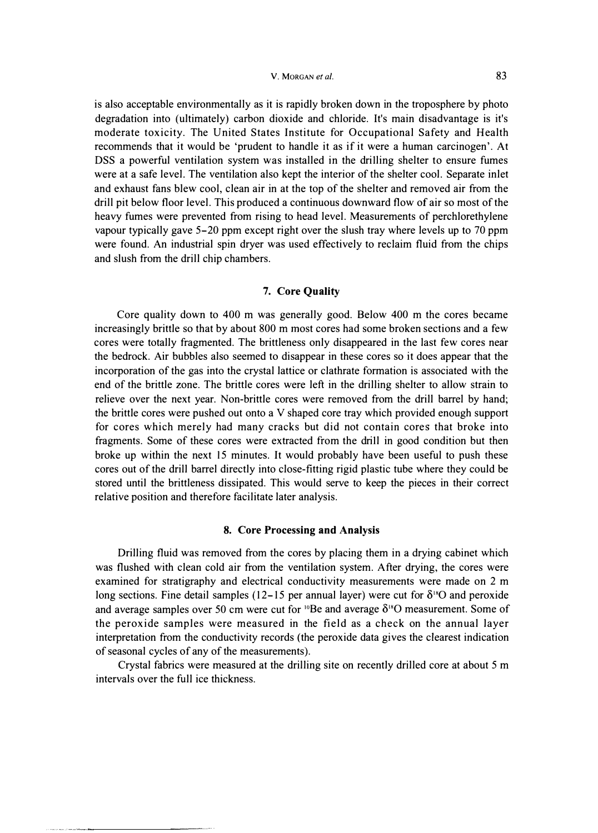**is also acceptable environmentally as it is rapidly broken down in the troposphere by photo degradation into (ultimately) carbon dioxide and chloride. It's main disadvantage is it's moderate toxicity. The United States Institute for Occupational Safety and Health recommends that it would be 'prudent to handle it as if it were a human carcinogen'. At DSS a powerful ventilation system was insta1led in the dri11ing shelter to ensure fumes were at a safe level. The ventilation also kept the interior of the shelter cool. Separate inlet and exhaust fans blew cool, clean air in at the top of the shelter and removed air from the dri11 pit below floor level. This produced a continuous downward flow of air so most of the heavy fumes were prevented from rising to head level. Measurements of perchlorethylene vapour typica1ly gave 5-20 ppm except right over the slush tray where levels up to 70 ppm were found. An industrial spin dryer was used effectively to reclaim fluid from the chips and slush from the dri1l chip chambers.** 

# **7. Core Quality**

**Core quality down to 400 m was generally good. Below 400 m the cores became increasingly brittle so that by about 800 m most cores had some broken sections and a few cores were totally fragmented. The brittleness only disappeared in the last few cores near the bedrock. Air bubbles also seemed to disappear in these cores so it does appear that the incorporation of the gas into the crystal lattice or clathrate formation is associated with the**  end of the brittle zone. The brittle cores were left in the drilling shelter to allow strain to **relieve over the next year. Non-brittle cores were removed from the drill barrel by hand; the brittle cores were pushed out onto a V shaped core tray which provided enough support for cores which merely had many cracks but did not contain cores that broke into fragments. Some of these cores were extracted from the dri1l in good condition but then broke up within the next 15 minutes. It would probably have been useful to push these cores out of the dri1l barrel directly into close-fitting rigid plastic tube where they could be stored until the brittleness dissipated. This would serve to keep the pieces in their correct relative position and therefore facilitate later analysis.** 

### **8. Core Processing and Analysis**

**Drilling fluid was removed from the cores by placing them in a drying cabinet which was flushed with clean cold air from the ventilation system. After drying, the cores were examined for stratigraphy and electrical conductivity measurements were made on 2 m**  long sections. Fine detail samples  $(12-15$  per annual layer) were cut for  $\delta^{18}O$  and peroxide and average samples over 50 cm were cut for <sup>10</sup>Be and average  $\delta$ <sup>18</sup>O measurement. Some of **the peroxide samples were measured in the field as a check on the annual layer interpretation from the conductivity records (the peroxide data gives the clearest indication of seasonal cycles of any of the measurements).** 

**Crystal fabrics were measured at the dri1ling site on recently drilled core at about 5 m intervals over the full ice thickness.**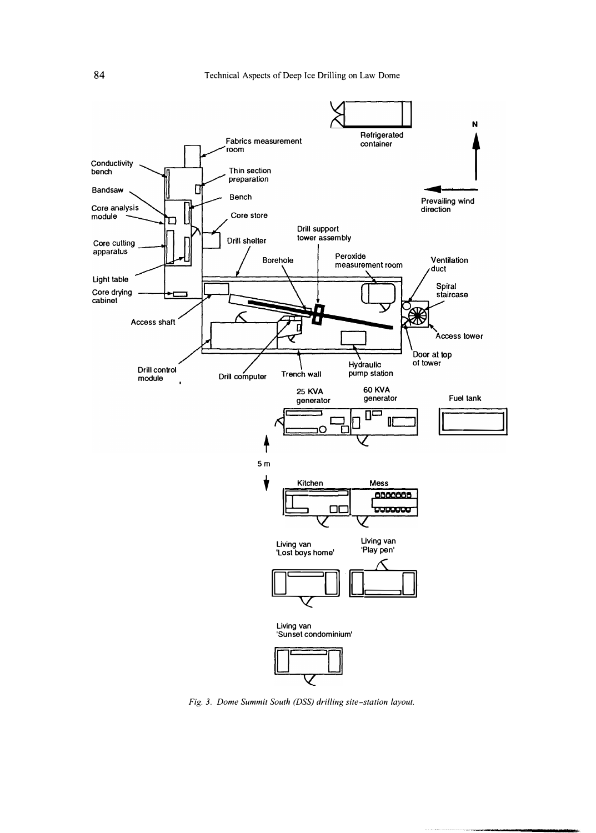

*Fig. 3. Dome Summit South (DSS) drilling site-station layout.*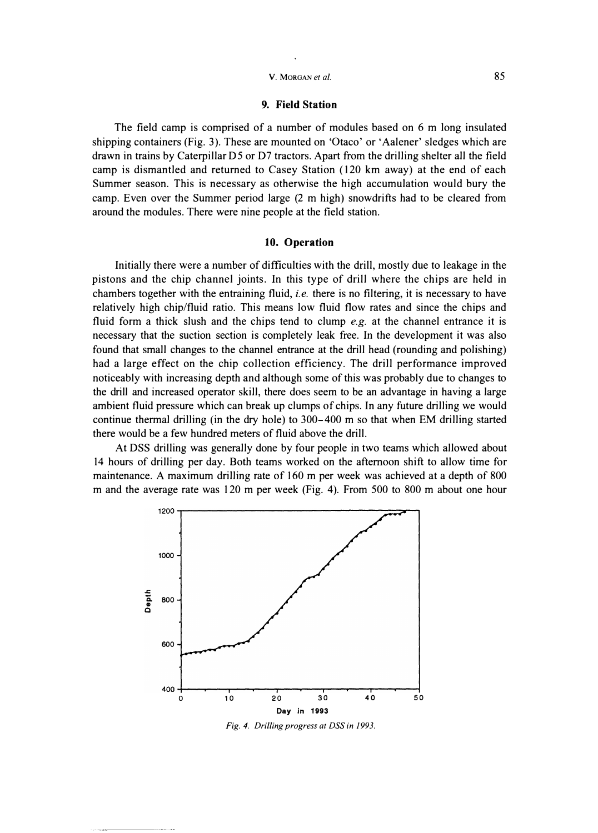#### **9. Field Station**

**The field camp is comprised of a number of modules based on 6 m long insulated shipping containers (Fig. 3). These are mounted on 'Otaco' or 'Aalener' sledges which are drawn in trains by Caterpillar D5 or D7 tractors. Apart from the drilling shelter all the field camp is dismantled and returned to Casey Station (1 20 km away) at the end of each Summer season. This is necessary as otherwise the high accumulation would bury the camp. Even over the Summer period large (2 m high) snowdrifts had to be cleared from around the modules. There were nine people at the field station.** 

# **10. Operation**

**Initially there were a number of difficulties with the drill, mostly due to leakage in the pistons and the chip channel joints. In this type of drill where the chips are held in chambers together with the entraining fluid,** *i.e.* **there is no filtering, it is necessary to have relatively high chip/fluid ratio. This means low fluid flow rates and since the chips and fluid form a thick slush and the chips tend to clump** *e.g.* **at the channel entrance it is necessary that the suction section is completely leak free. In the development it was also found that small changes to the channel entrance at the drill head (rounding and polishing) had a large effect on the chip collection efficiency. The drill performance improved noticeably with increasing depth and although some of this was probably due to changes to the drill and increased operator skill, there does seem to be an advantage in having a large ambient fluid pressure which can break up clumps of chips. In any future drilling we would continue thermal drilling (in the dry hole) to 300-400 m so that when EM drilling started there would be a few hundred meters of fluid above the drill.** 

**At DSS drilling was generally done by four people in two teams which allowed about 14 hours of drilling per day. Both teams worked on the afternoon shift to allow time for maintenance. A maximum drilling rate of 160 m per week was achieved at a depth of 800 m and the average rate was 1 20 m per week (Fig. 4). From 500 to 800 m about one hour** 



*Fig. 4. Drilling progress at DSS in 1993.*